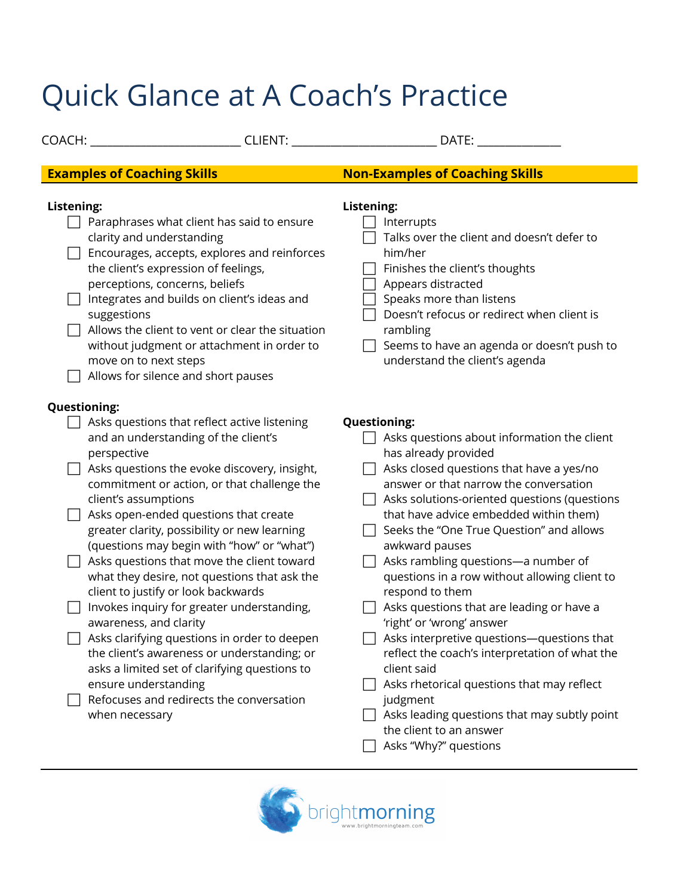## Quick Glance at A Coach's Practice

| COACH:                                                                                                                                                                                                                                                                                                                                                    | CLIENT:                                                                                                                                                                                                                                                                                                                                                                                                                               | DATE:                                                                                                                                                                                                                                                                                                                                                                                                                                                                                                                                                                                                                                                                                                  |
|-----------------------------------------------------------------------------------------------------------------------------------------------------------------------------------------------------------------------------------------------------------------------------------------------------------------------------------------------------------|---------------------------------------------------------------------------------------------------------------------------------------------------------------------------------------------------------------------------------------------------------------------------------------------------------------------------------------------------------------------------------------------------------------------------------------|--------------------------------------------------------------------------------------------------------------------------------------------------------------------------------------------------------------------------------------------------------------------------------------------------------------------------------------------------------------------------------------------------------------------------------------------------------------------------------------------------------------------------------------------------------------------------------------------------------------------------------------------------------------------------------------------------------|
|                                                                                                                                                                                                                                                                                                                                                           |                                                                                                                                                                                                                                                                                                                                                                                                                                       |                                                                                                                                                                                                                                                                                                                                                                                                                                                                                                                                                                                                                                                                                                        |
| <b>Examples of Coaching Skills</b>                                                                                                                                                                                                                                                                                                                        |                                                                                                                                                                                                                                                                                                                                                                                                                                       | <b>Non-Examples of Coaching Skills</b>                                                                                                                                                                                                                                                                                                                                                                                                                                                                                                                                                                                                                                                                 |
| Listening:<br>clarity and understanding<br>the client's expression of feelings,<br>perceptions, concerns, beliefs<br>Integrates and builds on client's ideas and<br>suggestions<br>move on to next steps<br>Allows for silence and short pauses                                                                                                           | Paraphrases what client has said to ensure<br>Encourages, accepts, explores and reinforces<br>Allows the client to vent or clear the situation<br>without judgment or attachment in order to                                                                                                                                                                                                                                          | <b>Listening:</b><br>Interrupts<br>Talks over the client and doesn't defer to<br>him/her<br>Finishes the client's thoughts<br>Appears distracted<br>Speaks more than listens<br>Doesn't refocus or redirect when client is<br>rambling<br>Seems to have an agenda or doesn't push to<br>understand the client's agenda                                                                                                                                                                                                                                                                                                                                                                                 |
| <b>Questioning:</b>                                                                                                                                                                                                                                                                                                                                       |                                                                                                                                                                                                                                                                                                                                                                                                                                       |                                                                                                                                                                                                                                                                                                                                                                                                                                                                                                                                                                                                                                                                                                        |
| Asks questions that reflect active listening<br>and an understanding of the client's<br>perspective<br>client's assumptions<br>Asks open-ended questions that create<br>greater clarity, possibility or new learning<br>client to justify or look backwards<br>awareness, and clarity<br>ensure understanding<br>Refocuses and redirects the conversation | Asks questions the evoke discovery, insight,<br>commitment or action, or that challenge the<br>(questions may begin with "how" or "what")<br>Asks questions that move the client toward<br>what they desire, not questions that ask the<br>Invokes inquiry for greater understanding,<br>Asks clarifying questions in order to deepen<br>the client's awareness or understanding; or<br>asks a limited set of clarifying questions to | <b>Questioning:</b><br>Asks questions about information the client<br>has already provided<br>Asks closed questions that have a yes/no<br>answer or that narrow the conversation<br>Asks solutions-oriented questions (questions<br>that have advice embedded within them)<br>Seeks the "One True Question" and allows<br>awkward pauses<br>Asks rambling questions-a number of<br>questions in a row without allowing client to<br>respond to them<br>Asks questions that are leading or have a<br>'right' or 'wrong' answer<br>Asks interpretive questions-questions that<br>reflect the coach's interpretation of what the<br>client said<br>Asks rhetorical questions that may reflect<br>judgment |
| when necessary                                                                                                                                                                                                                                                                                                                                            |                                                                                                                                                                                                                                                                                                                                                                                                                                       | Asks leading questions that may subtly point<br>the client to an answer                                                                                                                                                                                                                                                                                                                                                                                                                                                                                                                                                                                                                                |

 $\Box$  Asks "Why?" questions